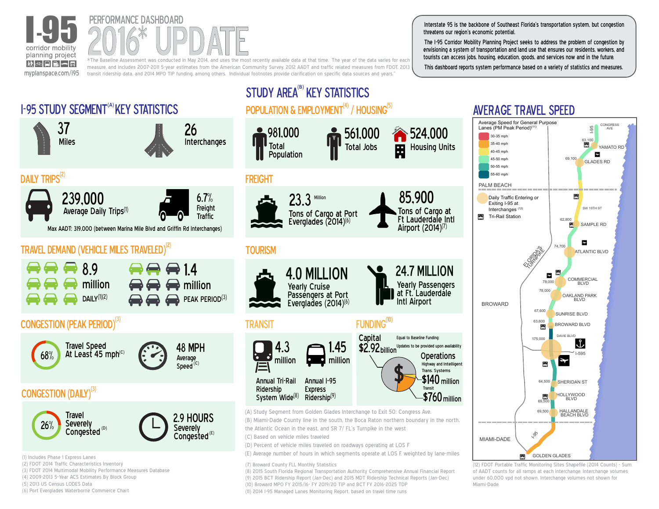

(3) FDOT 2014 Multimodal Mobility Performance Measures Database

(4) 2009-2013 5-Year ACS Estimates By Block Group

(6) Port Everglades Waterborne Commerce Chart

(5) 2013 US Census LODES Data



measure, and includes 2007-2011 5-year estimates from the American Community Survey, 2012 AADT and traffic related measures from FDOT, 2013 transit ridership data, and 2014 MPO TIP funding, among others. Individual footnotes provide clarification on specific data sources and years."

Interstate 95 is the backbone of Southeast Florida's transportation system, but congestion threatens our region's economic potential.

The I-95 Corridor Mobility Planning Project seeks to address the problem of congestion by envisioning a system of transportation and land use that ensures our residents, workers, and tourists can access jobs, housing, education, goods, and services now and in the future.

This dashboard reports system performance based on a variety of statistics and measures.



(7) Broward County FLL Monthly Statistics

(8) 2015 South Florida Regional Transportation Authority Comprehensive Annual Financial Report (9) 2015 BCT Ridership Report (Jan-Dec) and 2015 MDT Ridership Technical Reports (Jan-Dec) (10) Broward MPO FY 2015/16- FY 2019/20 TIP and BCT FY 2016-2025 TDP (11) 2014 I-95 Managed Lanes Monitoring Report, based on travel time runs

(12) FDOT Portable Traffic Monitoring Sites Shapefile (2014 Counts) - Sum of AADT counts for all ramps at each interchange. Interchange volumes under 60,000 vpd not shown. Interchange volumes not shown for Miami-Dade.

|

I-595

¢

ATLANTIC BLVD

SW 10TH ST

SAMPLE RD

a

a

!

¢

 $\ddot{\phantom{0}}$ 

GLADES RD

**CONGRESS AVE** 

YAMATO RD

a

1

63,100

I-95